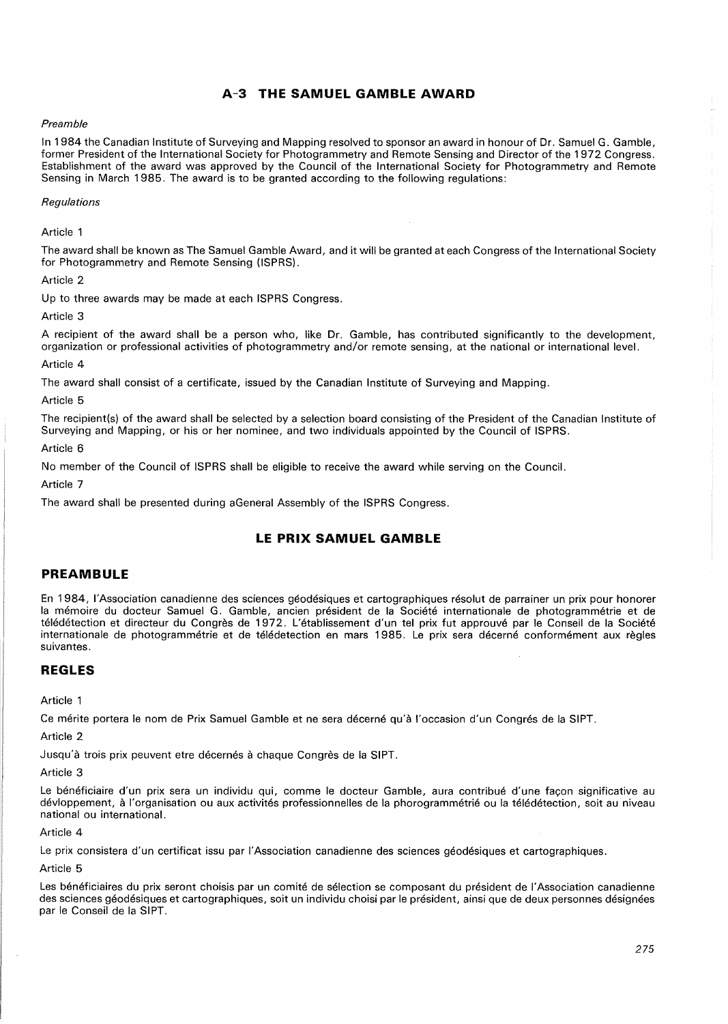# **A-3 THE SAMUEL GAMBLE AWARD**

*Preamble* 

In 1984 the Canadian Institute of Surveying and Mapping resolved to sponsor an award in honour of Dr. Samuel G. Gamble, former President of the International Society for Photogrammetry and Remote Sensing and Director of the 1972 Congress. Establishment of the award was approved by the Council of the International Society for Photogrammetry and Remote Sensing in March 1985. The award is to be granted according to the following regulations:

*Regulations* 

Article 1

The award shall be known as The Samuel Gamble Award, and it will be granted at each Congress of the International Society for Photogrammetry and Remote Sensing (ISPRS).

Article 2

Up to three awards may be made at each ISPRS Congress.

Article 3

A recipient of the award shall be a person who, like Dr. Gamble, has contributed significantly to the development, organization or professional activities of photogrammetry and/or remote sensing, at the national or international level.

Article 4

The award shall consist of a certificate, issued by the Canadian Institute of Surveying and Mapping.

Article 5

The recipient(s) of the award shall be selected by a selection board consisting of the President of the Canadian Institute of Surveying and Mapping, or his or her nominee, and two individuals appointed by the Council of ISPRS.

Article 6

No member of the Council of ISPRS shall be eligible to receive the award while serving on the Council.

Article 7

The award shall be presented during aGeneral Assembly of the ISPRS Congress.

# **LE PRIX SAMUEL GAMBLE**

## **PREAMBULE**

En 1984, !'Association canadienne des sciences geodesiques et cartographiques resolut de parrainer un prix pour honorer la mémoire du docteur Samuel G. Gamble, ancien président de la Société internationale de photogrammétrie et de télédétection et directeur du Congrès de 1972. L'établissement d'un tel prix fut approuvé par le Conseil de la Société internationale de photogrammétrie et de télédetection en mars 1985. Le prix sera décerné conformément aux règles suivantes.

## **REGLES**

Article 1

Ce mérite portera le nom de Prix Samuel Gamble et ne sera décerné qu'à l'occasion d'un Congrés de la SIPT.

Article 2

Jusqu'à trois prix peuvent etre décernés à chaque Congrès de la SIPT.

Article 3

Le bénéficiaire d'un prix sera un individu qui, comme le docteur Gamble, aura contribué d'une facon significative au dévloppement, à l'organisation ou aux activités professionnelles de la phorogrammétrié ou la télédétection, soit au niveau national ou international.

Article 4

Le prix consistera d'un certificat issu par l'Association canadienne des sciences géodésiques et cartographiques.

Article 5

Les bénéficiaires du prix seront choisis par un comité de sélection se composant du président de l'Association canadienne des sciences géodésiques et cartographiques, soit un individu choisi par le président, ainsi que de deux personnes désignées par le Conseil de la SIPT.